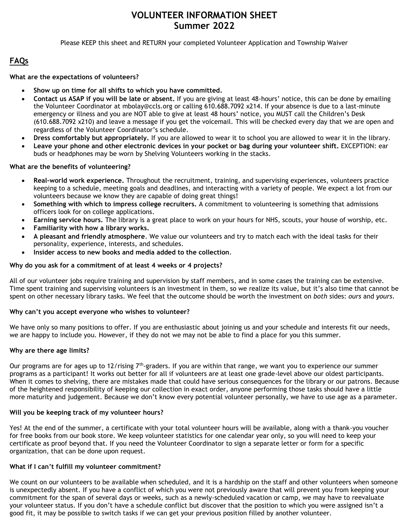## **VOLUNTEER INFORMATION SHEET Summer 2022**

Please KEEP this sheet and RETURN your completed Volunteer Application and Township Waiver

## **FAQs**

#### **What are the expectations of volunteers?**

- **Show up on time for all shifts to which you have committed.**
- **Contact us ASAP if you will be late or absent.** If you are giving at least 48-hours' notice, this can be done by emailing the Volunteer Coordinator at [mbolay@ccls.org](mailto:mbolay@ccls.org) or calling 610.688.7092 x214. If your absence is due to a last-minute emergency or illness and you are NOT able to give at least 48 hours' notice, you MUST call the Children's Desk (610.688.7092 x210) and leave a message if you get the voicemail. This will be checked every day that we are open and regardless of the Volunteer Coordinator's schedule.
- **Dress comfortably but appropriately.** If you are allowed to wear it to school you are allowed to wear it in the library.
- **Leave your phone and other electronic devices in your pocket or bag during your volunteer shift.** EXCEPTION: ear buds or headphones may be worn by Shelving Volunteers working in the stacks.

### **What are the benefits of volunteering?**

- **Real-world work experience.** Throughout the recruitment, training, and supervising experiences, volunteers practice keeping to a schedule, meeting goals and deadlines, and interacting with a variety of people. We expect a lot from our volunteers because we know they are capable of doing great things!
- **Something with which to impress college recruiters.** A commitment to volunteering is something that admissions officers look for on college applications.
- **Earning service hours.** The library is a great place to work on your hours for NHS, scouts, your house of worship, etc.
- **Familiarity with how a library works.**
- **A pleasant and friendly atmosphere**. We value our volunteers and try to match each with the ideal tasks for their personality, experience, interests, and schedules.
- **Insider access to new books and media added to the collection**.

#### **Why do you ask for a commitment of at least 4 weeks or 4 projects?**

All of our volunteer jobs require training and supervision by staff members, and in some cases the training can be extensive. Time spent training and supervising volunteers is an investment in them, so we realize its value, but it's also time that cannot be spent on other necessary library tasks. We feel that the outcome should be worth the investment on *both* sides: *ours* and *yours*.

### **Why can't you accept everyone who wishes to volunteer?**

We have only so many positions to offer. If you are enthusiastic about joining us and your schedule and interests fit our needs, we are happy to include you. However, if they do not we may not be able to find a place for you this summer.

### **Why are there age limits?**

Our programs are for ages up to 12/rising  $7<sup>th</sup>$ -graders. If you are within that range, we want you to experience our summer programs as a participant! It works out better for all if volunteers are at least one grade-level above our oldest participants. When it comes to shelving, there are mistakes made that could have serious consequences for the library or our patrons. Because of the heightened responsibility of keeping our collection in exact order, anyone performing those tasks should have a little more maturity and judgement. Because we don't know every potential volunteer personally, we have to use age as a parameter.

### **Will you be keeping track of my volunteer hours?**

Yes! At the end of the summer, a certificate with your total volunteer hours will be available, along with a thank-you voucher for free books from our book store. We keep volunteer statistics for one calendar year only, so you will need to keep your certificate as proof beyond that. If you need the Volunteer Coordinator to sign a separate letter or form for a specific organization, that can be done upon request.

### **What if I can't fulfill my volunteer commitment?**

We count on our volunteers to be available when scheduled, and it is a hardship on the staff and other volunteers when someone is unexpectedly absent. If you have a conflict of which you were not previously aware that will prevent you from keeping your commitment for the span of several days or weeks, such as a newly-scheduled vacation or camp, we may have to reevaluate your volunteer status. If you don't have a schedule conflict but discover that the position to which you were assigned isn't a good fit, it may be possible to switch tasks if we can get your previous position filled by another volunteer.